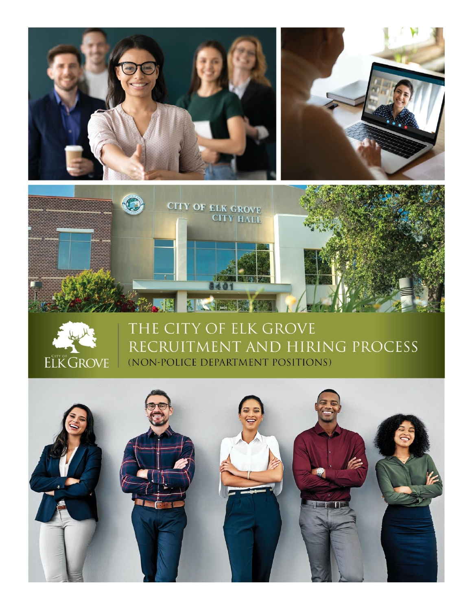



# THE CITY OF ELK GROVE RECRUITMENT AND HIRING PROCESS (NON-POLICE DEPARTMENT POSITIONS)

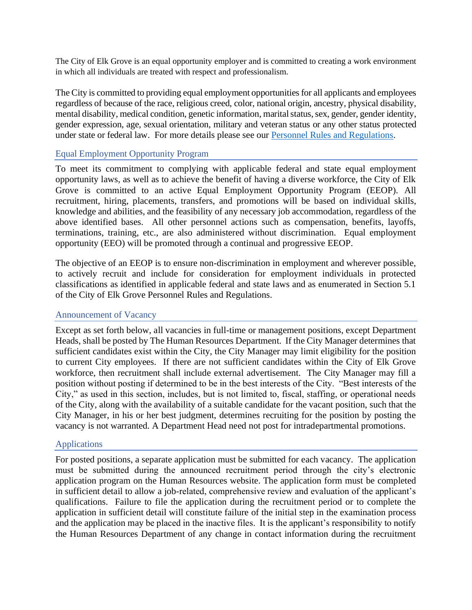The City of Elk Grove is an equal opportunity employer and is committed to creating a work environment in which all individuals are treated with respect and professionalism.

The City is committed to providing equal employment opportunities for all applicants and employees regardless of because of the race, religious creed, color, national origin, ancestry, physical disability, mental disability, medical condition, genetic information, marital status, sex, gender, gender identity, gender expression, age, sexual orientation, military and veteran status or any other status protected under state or federal law. For more details please see our [Personnel Rules and Regulations.](http://www.elkgrovecity.org/UserFiles/Servers/Server_109585/File/Departments/HR/Personnel_Rules_and_Regulations.pdf)

## Equal Employment Opportunity Program

To meet its commitment to complying with applicable federal and state equal employment opportunity laws, as well as to achieve the benefit of having a diverse workforce, the City of Elk Grove is committed to an active Equal Employment Opportunity Program (EEOP). All recruitment, hiring, placements, transfers, and promotions will be based on individual skills, knowledge and abilities, and the feasibility of any necessary job accommodation, regardless of the above identified bases. All other personnel actions such as compensation, benefits, layoffs, terminations, training, etc., are also administered without discrimination. Equal employment opportunity (EEO) will be promoted through a continual and progressive EEOP.

The objective of an EEOP is to ensure non-discrimination in employment and wherever possible, to actively recruit and include for consideration for employment individuals in protected classifications as identified in applicable federal and state laws and as enumerated in Section 5.1 of the City of Elk Grove Personnel Rules and Regulations.

## Announcement of Vacancy

Except as set forth below, all vacancies in full-time or management positions, except Department Heads, shall be posted by The Human Resources Department. If the City Manager determines that sufficient candidates exist within the City, the City Manager may limit eligibility for the position to current City employees. If there are not sufficient candidates within the City of Elk Grove workforce, then recruitment shall include external advertisement. The City Manager may fill a position without posting if determined to be in the best interests of the City. "Best interests of the City," as used in this section, includes, but is not limited to, fiscal, staffing, or operational needs of the City, along with the availability of a suitable candidate for the vacant position, such that the City Manager, in his or her best judgment, determines recruiting for the position by posting the vacancy is not warranted. A Department Head need not post for intradepartmental promotions.

## Applications

For posted positions, a separate application must be submitted for each vacancy. The application must be submitted during the announced recruitment period through the city's electronic application program on the Human Resources website. The application form must be completed in sufficient detail to allow a job-related, comprehensive review and evaluation of the applicant's qualifications. Failure to file the application during the recruitment period or to complete the application in sufficient detail will constitute failure of the initial step in the examination process and the application may be placed in the inactive files. It is the applicant's responsibility to notify the Human Resources Department of any change in contact information during the recruitment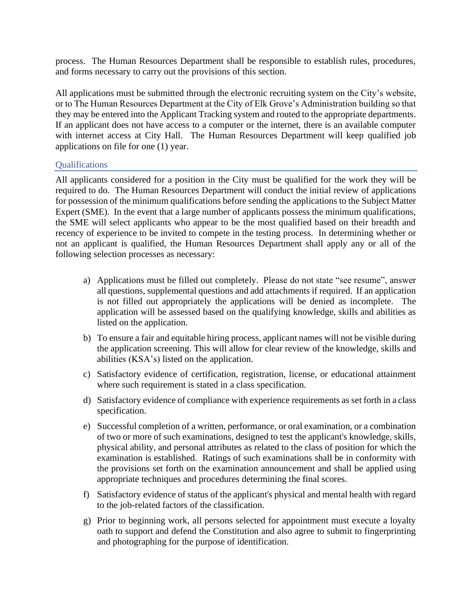process. The Human Resources Department shall be responsible to establish rules, procedures, and forms necessary to carry out the provisions of this section.

All applications must be submitted through the electronic recruiting system on the City's website, or to The Human Resources Department at the City of Elk Grove's Administration building so that they may be entered into the Applicant Tracking system and routed to the appropriate departments. If an applicant does not have access to a computer or the internet, there is an available computer with internet access at City Hall. The Human Resources Department will keep qualified job applications on file for one (1) year.

## **Qualifications**

All applicants considered for a position in the City must be qualified for the work they will be required to do. The Human Resources Department will conduct the initial review of applications for possession of the minimum qualifications before sending the applications to the Subject Matter Expert (SME). In the event that a large number of applicants possess the minimum qualifications, the SME will select applicants who appear to be the most qualified based on their breadth and recency of experience to be invited to compete in the testing process. In determining whether or not an applicant is qualified, the Human Resources Department shall apply any or all of the following selection processes as necessary:

- a) Applications must be filled out completely. Please do not state "see resume", answer all questions, supplemental questions and add attachments if required. If an application is not filled out appropriately the applications will be denied as incomplete. The application will be assessed based on the qualifying knowledge, skills and abilities as listed on the application.
- b) To ensure a fair and equitable hiring process, applicant names will not be visible during the application screening. This will allow for clear review of the knowledge, skills and abilities (KSA's) listed on the application.
- c) Satisfactory evidence of certification, registration, license, or educational attainment where such requirement is stated in a class specification.
- d) Satisfactory evidence of compliance with experience requirements as set forth in a class specification.
- e) Successful completion of a written, performance, or oral examination, or a combination of two or more of such examinations, designed to test the applicant's knowledge, skills, physical ability, and personal attributes as related to the class of position for which the examination is established. Ratings of such examinations shall be in conformity with the provisions set forth on the examination announcement and shall be applied using appropriate techniques and procedures determining the final scores.
- f) Satisfactory evidence of status of the applicant's physical and mental health with regard to the job-related factors of the classification.
- g) Prior to beginning work, all persons selected for appointment must execute a loyalty oath to support and defend the Constitution and also agree to submit to fingerprinting and photographing for the purpose of identification.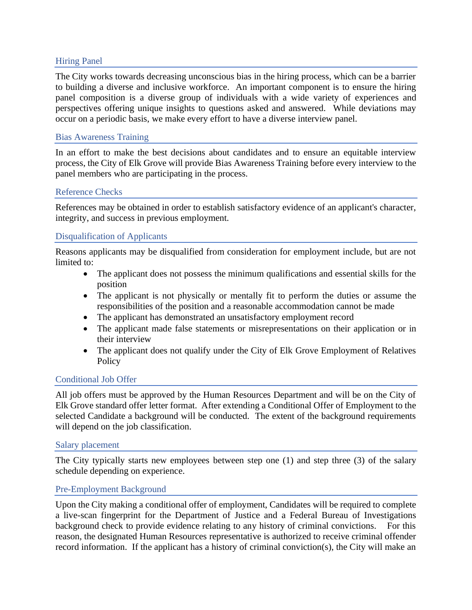## Hiring Panel

The City works towards decreasing unconscious bias in the hiring process, which can be a barrier to building a diverse and inclusive workforce. An important component is to ensure the hiring panel composition is a diverse group of individuals with a wide variety of experiences and perspectives offering unique insights to questions asked and answered. While deviations may occur on a periodic basis, we make every effort to have a diverse interview panel.

## Bias Awareness Training

In an effort to make the best decisions about candidates and to ensure an equitable interview process, the City of Elk Grove will provide Bias Awareness Training before every interview to the panel members who are participating in the process.

## Reference Checks

References may be obtained in order to establish satisfactory evidence of an applicant's character, integrity, and success in previous employment.

## Disqualification of Applicants

Reasons applicants may be disqualified from consideration for employment include, but are not limited to:

- The applicant does not possess the minimum qualifications and essential skills for the position
- The applicant is not physically or mentally fit to perform the duties or assume the responsibilities of the position and a reasonable accommodation cannot be made
- The applicant has demonstrated an unsatisfactory employment record
- The applicant made false statements or misrepresentations on their application or in their interview
- The applicant does not qualify under the City of Elk Grove Employment of Relatives **Policy**

## Conditional Job Offer

All job offers must be approved by the Human Resources Department and will be on the City of Elk Grove standard offer letter format. After extending a Conditional Offer of Employment to the selected Candidate a background will be conducted. The extent of the background requirements will depend on the job classification.

## Salary placement

The City typically starts new employees between step one (1) and step three (3) of the salary schedule depending on experience.

## Pre-Employment Background

Upon the City making a conditional offer of employment, Candidates will be required to complete a live-scan fingerprint for the Department of Justice and a Federal Bureau of Investigations background check to provide evidence relating to any history of criminal convictions. For this reason, the designated Human Resources representative is authorized to receive criminal offender record information. If the applicant has a history of criminal conviction(s), the City will make an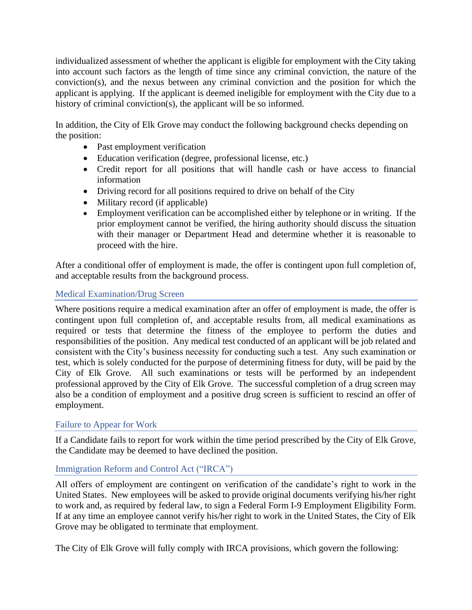individualized assessment of whether the applicant is eligible for employment with the City taking into account such factors as the length of time since any criminal conviction, the nature of the conviction(s), and the nexus between any criminal conviction and the position for which the applicant is applying. If the applicant is deemed ineligible for employment with the City due to a history of criminal conviction(s), the applicant will be so informed.

In addition, the City of Elk Grove may conduct the following background checks depending on the position:

- Past employment verification
- Education verification (degree, professional license, etc.)
- Credit report for all positions that will handle cash or have access to financial information
- Driving record for all positions required to drive on behalf of the City
- Military record (if applicable)
- Employment verification can be accomplished either by telephone or in writing. If the prior employment cannot be verified, the hiring authority should discuss the situation with their manager or Department Head and determine whether it is reasonable to proceed with the hire.

After a conditional offer of employment is made, the offer is contingent upon full completion of, and acceptable results from the background process.

# Medical Examination/Drug Screen

Where positions require a medical examination after an offer of employment is made, the offer is contingent upon full completion of, and acceptable results from, all medical examinations as required or tests that determine the fitness of the employee to perform the duties and responsibilities of the position. Any medical test conducted of an applicant will be job related and consistent with the City's business necessity for conducting such a test. Any such examination or test, which is solely conducted for the purpose of determining fitness for duty, will be paid by the City of Elk Grove. All such examinations or tests will be performed by an independent professional approved by the City of Elk Grove. The successful completion of a drug screen may also be a condition of employment and a positive drug screen is sufficient to rescind an offer of employment.

## Failure to Appear for Work

If a Candidate fails to report for work within the time period prescribed by the City of Elk Grove, the Candidate may be deemed to have declined the position.

# Immigration Reform and Control Act ("IRCA")

All offers of employment are contingent on verification of the candidate's right to work in the United States. New employees will be asked to provide original documents verifying his/her right to work and, as required by federal law, to sign a Federal Form I-9 Employment Eligibility Form. If at any time an employee cannot verify his/her right to work in the United States, the City of Elk Grove may be obligated to terminate that employment.

The City of Elk Grove will fully comply with IRCA provisions, which govern the following: